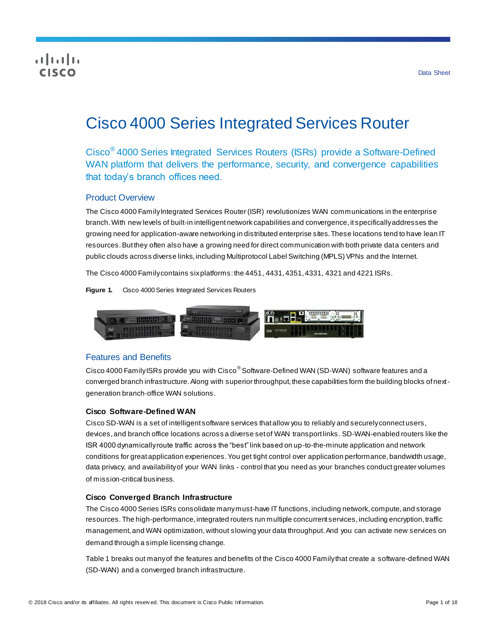## CISCO

# Cisco 4000 Series Integrated Services Router

Cisco® 4000 Series Integrated Services Routers (ISRs) provide a Software-Defined WAN platform that delivers the performance, security, and convergence capabilities that today's branch offices need.

## Product Overview

The Cisco 4000 Family Integrated Services Router (ISR) revolutionizes WAN communications in the enterprise branch. With new levels of built-in intelligent network capabilities and convergence, it specifically addresses the growing need for application-aware networking in distributed enterprise sites. These locations tend to have lean IT resources. But they often also have a growing need for direct communication with both private data centers and public clouds across diverse links, including Multiprotocol Label Switching (MPLS) VPNs and the Internet.

The Cisco 4000 Family contains sixplatforms: the 4451, 4431, 4351, 4331, 4321 and 4221 ISRs.

**Figure 1.** Cisco 4000 Series Integrated Services Routers



## Features and Benefits

Cisco 4000 Family ISRs provide you with Cisco<sup>®</sup> Software-Defined WAN (SD-WAN) software features and a converged branch infrastructure. Along with superior throughput, these capabilities form the building blocks of nextgeneration branch-office WAN solutions.

#### **Cisco Software-Defined WAN**

Cisco SD-WAN is a set of intelligent software services that allow you to reliably and securely connect users, devices, and branch office locations across a diverse set of WAN transport links. SD-WAN-enabled routers like the ISR 4000 dynamically route traffic across the "best" link based on up-to-the-minute application and network conditions for great application experiences. You get tight control over application performance, bandwidth usage, data privacy, and availability of your WAN links - control that you need as your branches conduct greater volumes of mission-critical business.

#### **Cisco Converged Branch Infrastructure**

The Cisco 4000 Series ISRs consolidate many must-have IT functions, including network, compute, and storage resources. The high-performance, integrated routers run multiple concurrent services, including encryption, traffic management, and WAN optimization, without slowing your data throughput. And you can activate new services on demand through a simple licensing change.

Table 1 breaks out many of the features and benefits of the Cisco 4000 Family that create a software-defined WAN (SD-WAN) and a converged branch infrastructure.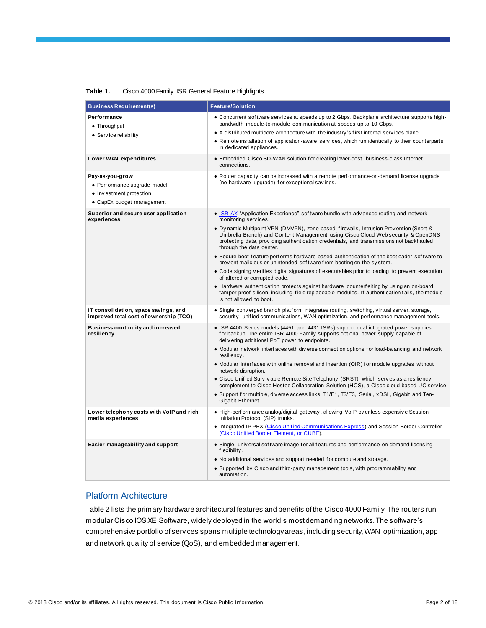| Performance<br>• Concurrent software services at speeds up to 2 Gbps. Backplane architecture supports high-<br>bandwidth module-to-module communication at speeds up to 10 Gbps.<br>• Throughput<br>• A distributed multicore architecture with the industry's first internal services plane.<br>• Service reliability<br>• Remote installation of application-aware services, which run identically to their counterparts<br>in dedicated appliances.<br>Lower WAN expenditures<br>• Embedded Cisco SD-WAN solution for creating lower-cost, business-class Internet<br>connections.<br>• Router capacity can be increased with a remote performance-on-demand license upgrade<br>Pay-as-you-grow<br>(no hardware upgrade) for exceptional savings.<br>• Performance upgrade model<br>• Investment protection<br>• CapEx budget management<br>• ISR-AX "Application Experience" software bundle with adv anced routing and network<br>Superior and secure user application<br>monitoring services.<br>experiences<br>• Dynamic Multipoint VPN (DMVPN), zone-based firewalls, Intrusion Prevention (Snort &<br>Umbrella Branch) and Content Management using Cisco Cloud Web security & OpenDNS<br>protecting data, providing authentication credentials, and transmissions not backhauled<br>through the data center.<br>• Secure boot feature performs hardware-based authentication of the bootloader software to<br>prevent malicious or unintended software from booting on the system.<br>• Code signing verifies digital signatures of executables prior to loading to prevent execution<br>of altered or corrupted code.<br>• Hardware authentication protects against hardware counterfeiting by using an on-board<br>tamper-proof silicon, including field replaceable modules. If authentication fails, the module<br>is not allowed to boot.<br>IT consolidation, space savings, and<br>• Single converged branch platform integrates routing, switching, virtual server, storage,<br>improved total cost of ownership (TCO)<br>security, unified communications, WAN optimization, and performance management tools.<br>• ISR 4400 Series models (4451 and 4431 ISRs) support dual integrated power supplies<br><b>Business continuity and increased</b><br>resiliency<br>for backup. The entire ISR 4000 Family supports optional power supply capable of<br>delivering additional PoE power to endpoints.<br>• Modular network interfaces with diverse connection options for load-balancing and network<br>resiliency.<br>• Modular interfaces with online removal and insertion (OIR) for module upgrades without | <b>Business Requirement(s)</b> | <b>Feature/Solution</b>                                                                  |
|------------------------------------------------------------------------------------------------------------------------------------------------------------------------------------------------------------------------------------------------------------------------------------------------------------------------------------------------------------------------------------------------------------------------------------------------------------------------------------------------------------------------------------------------------------------------------------------------------------------------------------------------------------------------------------------------------------------------------------------------------------------------------------------------------------------------------------------------------------------------------------------------------------------------------------------------------------------------------------------------------------------------------------------------------------------------------------------------------------------------------------------------------------------------------------------------------------------------------------------------------------------------------------------------------------------------------------------------------------------------------------------------------------------------------------------------------------------------------------------------------------------------------------------------------------------------------------------------------------------------------------------------------------------------------------------------------------------------------------------------------------------------------------------------------------------------------------------------------------------------------------------------------------------------------------------------------------------------------------------------------------------------------------------------------------------------------------------------------------------------------------------------------------------------------------------------------------------------------------------------------------------------------------------------------------------------------------------------------------------------------------------------------------------------------------------------------------------------------------------------------------------------------------------------------------------------------------------------------------------------------------|--------------------------------|------------------------------------------------------------------------------------------|
|                                                                                                                                                                                                                                                                                                                                                                                                                                                                                                                                                                                                                                                                                                                                                                                                                                                                                                                                                                                                                                                                                                                                                                                                                                                                                                                                                                                                                                                                                                                                                                                                                                                                                                                                                                                                                                                                                                                                                                                                                                                                                                                                                                                                                                                                                                                                                                                                                                                                                                                                                                                                                                    |                                |                                                                                          |
|                                                                                                                                                                                                                                                                                                                                                                                                                                                                                                                                                                                                                                                                                                                                                                                                                                                                                                                                                                                                                                                                                                                                                                                                                                                                                                                                                                                                                                                                                                                                                                                                                                                                                                                                                                                                                                                                                                                                                                                                                                                                                                                                                                                                                                                                                                                                                                                                                                                                                                                                                                                                                                    |                                |                                                                                          |
|                                                                                                                                                                                                                                                                                                                                                                                                                                                                                                                                                                                                                                                                                                                                                                                                                                                                                                                                                                                                                                                                                                                                                                                                                                                                                                                                                                                                                                                                                                                                                                                                                                                                                                                                                                                                                                                                                                                                                                                                                                                                                                                                                                                                                                                                                                                                                                                                                                                                                                                                                                                                                                    |                                |                                                                                          |
|                                                                                                                                                                                                                                                                                                                                                                                                                                                                                                                                                                                                                                                                                                                                                                                                                                                                                                                                                                                                                                                                                                                                                                                                                                                                                                                                                                                                                                                                                                                                                                                                                                                                                                                                                                                                                                                                                                                                                                                                                                                                                                                                                                                                                                                                                                                                                                                                                                                                                                                                                                                                                                    |                                |                                                                                          |
|                                                                                                                                                                                                                                                                                                                                                                                                                                                                                                                                                                                                                                                                                                                                                                                                                                                                                                                                                                                                                                                                                                                                                                                                                                                                                                                                                                                                                                                                                                                                                                                                                                                                                                                                                                                                                                                                                                                                                                                                                                                                                                                                                                                                                                                                                                                                                                                                                                                                                                                                                                                                                                    |                                |                                                                                          |
|                                                                                                                                                                                                                                                                                                                                                                                                                                                                                                                                                                                                                                                                                                                                                                                                                                                                                                                                                                                                                                                                                                                                                                                                                                                                                                                                                                                                                                                                                                                                                                                                                                                                                                                                                                                                                                                                                                                                                                                                                                                                                                                                                                                                                                                                                                                                                                                                                                                                                                                                                                                                                                    |                                |                                                                                          |
|                                                                                                                                                                                                                                                                                                                                                                                                                                                                                                                                                                                                                                                                                                                                                                                                                                                                                                                                                                                                                                                                                                                                                                                                                                                                                                                                                                                                                                                                                                                                                                                                                                                                                                                                                                                                                                                                                                                                                                                                                                                                                                                                                                                                                                                                                                                                                                                                                                                                                                                                                                                                                                    |                                |                                                                                          |
|                                                                                                                                                                                                                                                                                                                                                                                                                                                                                                                                                                                                                                                                                                                                                                                                                                                                                                                                                                                                                                                                                                                                                                                                                                                                                                                                                                                                                                                                                                                                                                                                                                                                                                                                                                                                                                                                                                                                                                                                                                                                                                                                                                                                                                                                                                                                                                                                                                                                                                                                                                                                                                    |                                |                                                                                          |
|                                                                                                                                                                                                                                                                                                                                                                                                                                                                                                                                                                                                                                                                                                                                                                                                                                                                                                                                                                                                                                                                                                                                                                                                                                                                                                                                                                                                                                                                                                                                                                                                                                                                                                                                                                                                                                                                                                                                                                                                                                                                                                                                                                                                                                                                                                                                                                                                                                                                                                                                                                                                                                    |                                |                                                                                          |
|                                                                                                                                                                                                                                                                                                                                                                                                                                                                                                                                                                                                                                                                                                                                                                                                                                                                                                                                                                                                                                                                                                                                                                                                                                                                                                                                                                                                                                                                                                                                                                                                                                                                                                                                                                                                                                                                                                                                                                                                                                                                                                                                                                                                                                                                                                                                                                                                                                                                                                                                                                                                                                    |                                |                                                                                          |
|                                                                                                                                                                                                                                                                                                                                                                                                                                                                                                                                                                                                                                                                                                                                                                                                                                                                                                                                                                                                                                                                                                                                                                                                                                                                                                                                                                                                                                                                                                                                                                                                                                                                                                                                                                                                                                                                                                                                                                                                                                                                                                                                                                                                                                                                                                                                                                                                                                                                                                                                                                                                                                    |                                |                                                                                          |
|                                                                                                                                                                                                                                                                                                                                                                                                                                                                                                                                                                                                                                                                                                                                                                                                                                                                                                                                                                                                                                                                                                                                                                                                                                                                                                                                                                                                                                                                                                                                                                                                                                                                                                                                                                                                                                                                                                                                                                                                                                                                                                                                                                                                                                                                                                                                                                                                                                                                                                                                                                                                                                    |                                |                                                                                          |
|                                                                                                                                                                                                                                                                                                                                                                                                                                                                                                                                                                                                                                                                                                                                                                                                                                                                                                                                                                                                                                                                                                                                                                                                                                                                                                                                                                                                                                                                                                                                                                                                                                                                                                                                                                                                                                                                                                                                                                                                                                                                                                                                                                                                                                                                                                                                                                                                                                                                                                                                                                                                                                    |                                |                                                                                          |
|                                                                                                                                                                                                                                                                                                                                                                                                                                                                                                                                                                                                                                                                                                                                                                                                                                                                                                                                                                                                                                                                                                                                                                                                                                                                                                                                                                                                                                                                                                                                                                                                                                                                                                                                                                                                                                                                                                                                                                                                                                                                                                                                                                                                                                                                                                                                                                                                                                                                                                                                                                                                                                    |                                |                                                                                          |
|                                                                                                                                                                                                                                                                                                                                                                                                                                                                                                                                                                                                                                                                                                                                                                                                                                                                                                                                                                                                                                                                                                                                                                                                                                                                                                                                                                                                                                                                                                                                                                                                                                                                                                                                                                                                                                                                                                                                                                                                                                                                                                                                                                                                                                                                                                                                                                                                                                                                                                                                                                                                                                    |                                | network disruption.                                                                      |
| • Cisco Unified Survivable Remote Site Telephony (SRST), which serves as a resiliency                                                                                                                                                                                                                                                                                                                                                                                                                                                                                                                                                                                                                                                                                                                                                                                                                                                                                                                                                                                                                                                                                                                                                                                                                                                                                                                                                                                                                                                                                                                                                                                                                                                                                                                                                                                                                                                                                                                                                                                                                                                                                                                                                                                                                                                                                                                                                                                                                                                                                                                                              |                                | complement to Cisco Hosted Collaboration Solution (HCS), a Cisco cloud-based UC service. |
| • Support for multiple, diverse access links: T1/E1, T3/E3, Serial, xDSL, Gigabit and Ten-<br>Gigabit Ethernet.                                                                                                                                                                                                                                                                                                                                                                                                                                                                                                                                                                                                                                                                                                                                                                                                                                                                                                                                                                                                                                                                                                                                                                                                                                                                                                                                                                                                                                                                                                                                                                                                                                                                                                                                                                                                                                                                                                                                                                                                                                                                                                                                                                                                                                                                                                                                                                                                                                                                                                                    |                                |                                                                                          |
| Lower telephony costs with VoIP and rich<br>• High-perf ormance analog/digital gateway, allowing VoIP over less expensive Session<br>media experiences<br>Initiation Protocol (SIP) trunks.                                                                                                                                                                                                                                                                                                                                                                                                                                                                                                                                                                                                                                                                                                                                                                                                                                                                                                                                                                                                                                                                                                                                                                                                                                                                                                                                                                                                                                                                                                                                                                                                                                                                                                                                                                                                                                                                                                                                                                                                                                                                                                                                                                                                                                                                                                                                                                                                                                        |                                |                                                                                          |
| • Integrated IP PBX (Cisco Unified Communications Express) and Session Border Controller<br>(Cisco Unified Border Element, or CUBE).                                                                                                                                                                                                                                                                                                                                                                                                                                                                                                                                                                                                                                                                                                                                                                                                                                                                                                                                                                                                                                                                                                                                                                                                                                                                                                                                                                                                                                                                                                                                                                                                                                                                                                                                                                                                                                                                                                                                                                                                                                                                                                                                                                                                                                                                                                                                                                                                                                                                                               |                                |                                                                                          |
| • Single, universal software image for all features and performance-on-demand licensing<br>Easier manageability and support<br>flexibility.                                                                                                                                                                                                                                                                                                                                                                                                                                                                                                                                                                                                                                                                                                                                                                                                                                                                                                                                                                                                                                                                                                                                                                                                                                                                                                                                                                                                                                                                                                                                                                                                                                                                                                                                                                                                                                                                                                                                                                                                                                                                                                                                                                                                                                                                                                                                                                                                                                                                                        |                                |                                                                                          |
| • No additional services and support needed for compute and storage.                                                                                                                                                                                                                                                                                                                                                                                                                                                                                                                                                                                                                                                                                                                                                                                                                                                                                                                                                                                                                                                                                                                                                                                                                                                                                                                                                                                                                                                                                                                                                                                                                                                                                                                                                                                                                                                                                                                                                                                                                                                                                                                                                                                                                                                                                                                                                                                                                                                                                                                                                               |                                |                                                                                          |
| • Supported by Cisco and third-party management tools, with programmability and<br>automation.                                                                                                                                                                                                                                                                                                                                                                                                                                                                                                                                                                                                                                                                                                                                                                                                                                                                                                                                                                                                                                                                                                                                                                                                                                                                                                                                                                                                                                                                                                                                                                                                                                                                                                                                                                                                                                                                                                                                                                                                                                                                                                                                                                                                                                                                                                                                                                                                                                                                                                                                     |                                |                                                                                          |

#### **Table 1.** Cisco 4000 Family ISR General Feature Highlights

## Platform Architecture

Table 2 lists the primary hardware architectural features and benefits of the Cisco 4000 Family. The routers run modular Cisco IOS XE Software, widely deployed in the world's most demanding networks. The software's comprehensive portfolio of services spans multiple technology areas, including security, WAN optimization, app and network quality of service (QoS), and embedded management.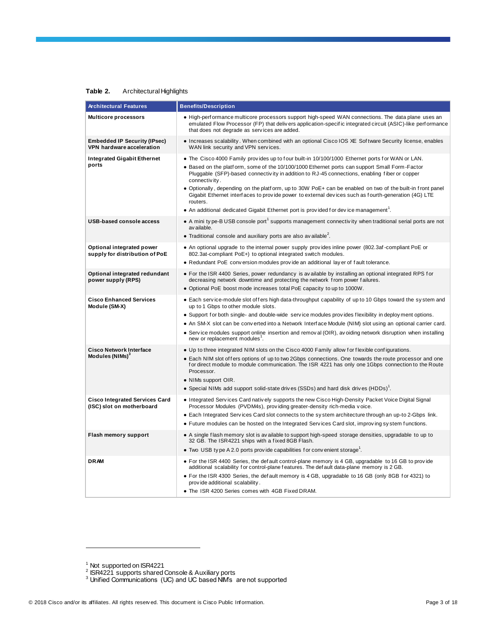#### **Table 2.** Architectural Highlights

<span id="page-2-0"></span>

| <b>Architectural Features</b>                                      | <b>Benefits/Description</b>                                                                                                                                                                                                                                                                                                                                                                                                                                                                                                                                                                                                               |
|--------------------------------------------------------------------|-------------------------------------------------------------------------------------------------------------------------------------------------------------------------------------------------------------------------------------------------------------------------------------------------------------------------------------------------------------------------------------------------------------------------------------------------------------------------------------------------------------------------------------------------------------------------------------------------------------------------------------------|
| <b>Multicore processors</b>                                        | • High-performance multicore processors support high-speed WAN connections. The data plane uses an<br>emulated Flow Processor (FP) that delivers application-specific integrated circuit (ASIC)-like performance<br>that does not degrade as services are added.                                                                                                                                                                                                                                                                                                                                                                          |
| <b>Embedded IP Security (IPsec)</b><br>VPN hardware acceleration   | • Increases scalability. When combined with an optional Cisco IOS XE Software Security license, enables<br>WAN link security and VPN services.                                                                                                                                                                                                                                                                                                                                                                                                                                                                                            |
| <b>Integrated Gigabit Ethernet</b><br>ports                        | . The Cisco 4000 Family provides up to four built-in 10/100/1000 Ethernet ports for WAN or LAN.<br>• Based on the platform, some of the 10/100/1000 Ethernet ports can support Small Form-Factor<br>Pluggable (SFP)-based connectivity in addition to RJ-45 connections, enabling fiber or copper<br>connectivity.<br>• Optionally, depending on the platform, up to 30W PoE+ can be enabled on two of the built-in front panel<br>Gigabit Ethernet interfaces to provide power to external devices such as fourth-generation (4G) LTE<br>routers.<br>• An additional dedicated Gigabit Ethernet port is provided for device management". |
| <b>USB-based console access</b>                                    | • A mini type-B USB console port <sup>1</sup> supports management connectivity when traditional serial ports are not<br>av ailable.<br>• Traditional console and auxiliary ports are also available <sup>2</sup> .                                                                                                                                                                                                                                                                                                                                                                                                                        |
| Optional integrated power<br>supply for distribution of PoE        | • An optional upgrade to the internal power supply provides inline power (802.3af-compliant PoE or<br>802.3at-compliant PoE+) to optional integrated switch modules.<br>• Redundant PoE conversion modules provide an additional layer of fault tolerance.                                                                                                                                                                                                                                                                                                                                                                                |
| Optional integrated redundant<br>power supply (RPS)                | • For the ISR 4400 Series, power redundancy is available by installing an optional integrated RPS for<br>decreasing network downtime and protecting the network from power failures.<br>. Optional PoE boost mode increases total PoE capacity to up to 1000W.                                                                                                                                                                                                                                                                                                                                                                            |
| <b>Cisco Enhanced Services</b><br>Module (SM-X)                    | • Each service-module slot of fers high data-throughput capability of up to 10 Gbps toward the system and<br>up to 1 Gbps to other module slots.<br>• Support for both single- and double-wide service modules provides flexibility in deploy ment options.<br>• An SM-X slot can be converted into a Network Interface Module (NIM) slot using an optional carrier card.<br>• Service modules support online insertion and removal (OIR), avoiding network disruption when installing<br>new or replacement modules'.                                                                                                                    |
| <b>Cisco Network Interface</b><br>Modules (NIMs) <sup>3</sup>      | . Up to three integrated NIM slots on the Cisco 4000 Family allow for flexible configurations.<br>• Each NIM slot offers options of up to two 2Gbps connections. One towards the route processor and one<br>for direct module to module communication. The ISR 4221 has only one 1Gbps connection to the Route<br>Processor.<br>• NIMs support OIR.<br>• Special NIMs add support solid-state drives (SSDs) and hard disk drives $(HDDs)^T$ .                                                                                                                                                                                             |
| <b>Cisco Integrated Services Card</b><br>(ISC) slot on motherboard | • Integrated Services Card natively supports the new Cisco High-Density Packet Voice Digital Signal<br>Processor Modules (PVDM4s), providing greater-density rich-media voice.<br>• Each Integrated Services Card slot connects to the system architecture through an up-to 2-Gbps link.<br>• Future modules can be hosted on the Integrated Services Card slot, improving system functions.                                                                                                                                                                                                                                              |
| <b>Flash memory support</b>                                        | • A single flash memory slot is available to support high-speed storage densities, upgradable to up to<br>32 GB. The ISR4221 ships with a fixed 8GB Flash.<br>• Two USB type A 2.0 ports provide capabilities for convenient storage.                                                                                                                                                                                                                                                                                                                                                                                                     |
| <b>DRAM</b>                                                        | • For the ISR 4400 Series, the default control-plane memory is 4 GB, upgradable to 16 GB to provide<br>additional scalability for control-plane features. The default data-plane memory is 2 GB.<br>• For the ISR 4300 Series, the default memory is 4 GB, upgradable to 16 GB (only 8GB for 4321) to<br>provide additional scalability.<br>• The ISR 4200 Series comes with 4GB Fixed DRAM.                                                                                                                                                                                                                                              |

<sup>&</sup>lt;sup>1</sup> Not supported on ISR4221<br><sup>2</sup> ISR4221 supports shared Console & Auxiliary ports<br><sup>3</sup> Unified Communications (UC) and UC based NIM's are not supported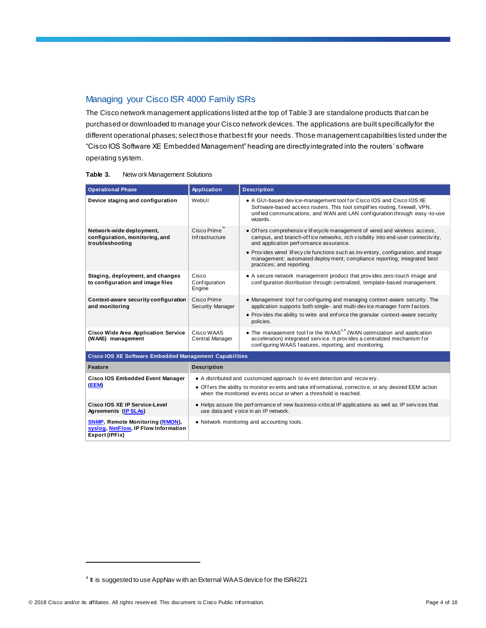## Managing your Cisco ISR 4000 Family ISRs

The Cisco network management applications listed at the top of Table 3 are standalone products that can be purchased or downloaded to manage your Cisco network devices. The applications are built specifically for the different operational phases; select those that best fit your needs. Those management capabilities listed under the "Cisco IOS Software XE Embedded Management" heading are directly integrated into the routers' software operating system.

#### **Table 3.** Netw ork Management Solutions

| <b>Operational Phase</b>                                                                         | Application                                                                                                                                                             | <b>Description</b>                                                                                                                                                                                                                                     |  |  |
|--------------------------------------------------------------------------------------------------|-------------------------------------------------------------------------------------------------------------------------------------------------------------------------|--------------------------------------------------------------------------------------------------------------------------------------------------------------------------------------------------------------------------------------------------------|--|--|
| Device staging and configuration                                                                 | WebUI                                                                                                                                                                   | • A GUI-based device-management tool for Cisco IOS and Cisco IOS XE<br>Sof tware-based access routers. This tool simplifies routing, firewall, VPN,<br>unified communications, and WAN and LAN configuration through easy-to-use<br>wizards.           |  |  |
| Network-wide deployment,<br>configuration, monitoring, and<br>troubleshooting                    | Cisco Prime<br>Infrastructure                                                                                                                                           | • Offers comprehensive lifecycle management of wired and wireless access,<br>campus, and branch-office networks, rich visibility into end-user connectivity,<br>and application performance assurance.                                                 |  |  |
|                                                                                                  |                                                                                                                                                                         | • Provides wired lifecy cle functions such as inventory, configuration, and image<br>management; automated deploy ment; compliance reporting; integrated best<br>practices; and reporting.                                                             |  |  |
| Staging, deployment, and changes<br>to configuration and image files                             | Cisco<br>Configuration<br>Engine                                                                                                                                        | • A secure network management product that provides zero-touch image and<br>configuration distribution through centralized, template-based management.                                                                                                 |  |  |
| Context-aware security configuration<br>and monitoring                                           | Cisco Prime<br><b>Security Manager</b>                                                                                                                                  | • Management tool for configuring and managing context-aware security. The<br>application supports both single- and multi-device manager form factors.<br>• Provides the ability to write and enforce the granular context-aware security<br>policies. |  |  |
| <b>Cisco Wide Area Application Service</b><br>(WAAS) management                                  | Cisco WAAS<br>Central Manager                                                                                                                                           | • The management tool for the WAAS <sup>1,4</sup> (WAN optimization and application<br>acceleration) integrated service. It provides a centralized mechanism for<br>configuring WAAS features, reporting, and monitoring.                              |  |  |
| Cisco IOS XE Software Embedded Management Capabilities                                           |                                                                                                                                                                         |                                                                                                                                                                                                                                                        |  |  |
| <b>Feature</b>                                                                                   | <b>Description</b>                                                                                                                                                      |                                                                                                                                                                                                                                                        |  |  |
| <b>Cisco IOS Embedded Event Manager</b>                                                          | • A distributed and customized approach to event detection and recovery.                                                                                                |                                                                                                                                                                                                                                                        |  |  |
| (EEM)                                                                                            | • Offers the ability to monitor events and take informational, corrective, or any desired EEM action<br>when the monitored events occur or when a threshold is reached. |                                                                                                                                                                                                                                                        |  |  |
| Cisco IOS XE IP Service-Level<br>Agreements (IP SLAs)                                            | • Helps assure the performance of new business-critical IP applications as well as IP services that<br>use data and voice in an IP network.                             |                                                                                                                                                                                                                                                        |  |  |
| <b>SNMP, Remote Monitoring (RMON),</b><br>syslog, NetFlow, IP Flow Information<br>Export (IPFix) | • Network monitoring and accounting tools.                                                                                                                              |                                                                                                                                                                                                                                                        |  |  |

 $4$  It is suggested to use AppNav w ith an External WAAS device for the ISR4221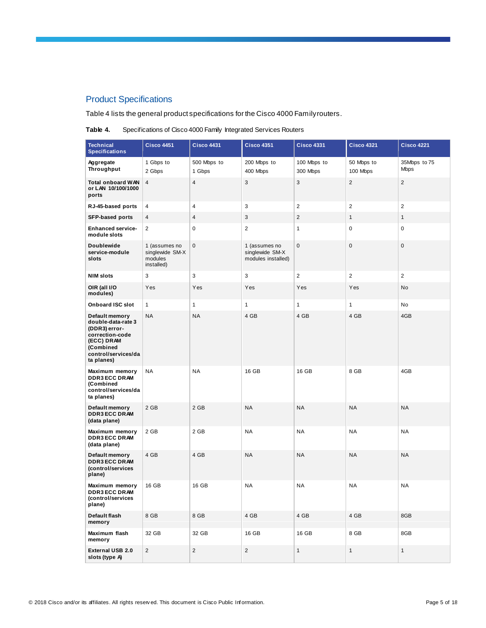## Product Specifications

Table 4 lists the general product specifications for the Cisco 4000 Family routers.

| Table 4. | Specifications of Cisco 4000 Family Integrated Services Routers |  |
|----------|-----------------------------------------------------------------|--|
|----------|-----------------------------------------------------------------|--|

| <b>Technical</b><br><b>Specifications</b>                                                                                                       | <b>Cisco 4451</b>                                         | <b>Cisco 4431</b>     | <b>Cisco 4351</b>                                      | <b>Cisco 4331</b>       | <b>Cisco 4321</b>       | <b>Cisco 4221</b>           |
|-------------------------------------------------------------------------------------------------------------------------------------------------|-----------------------------------------------------------|-----------------------|--------------------------------------------------------|-------------------------|-------------------------|-----------------------------|
| Aggregate<br>Throughput                                                                                                                         | 1 Gbps to<br>2 Gbps                                       | 500 Mbps to<br>1 Gbps | 200 Mbps to<br>400 Mbps                                | 100 Mbps to<br>300 Mbps | 50 Mbps to<br>100 Mbps  | 35Mbps to 75<br><b>Mbps</b> |
| <b>Total onboard WAN</b><br>or LAN 10/100/1000<br>ports                                                                                         | 4                                                         | $\sqrt{4}$            | 3                                                      | 3                       | $\overline{\mathbf{c}}$ | $\overline{2}$              |
| RJ-45-based ports                                                                                                                               | 4                                                         | $\overline{4}$        | 3                                                      | $\overline{2}$          | $\overline{2}$          | $\overline{2}$              |
| <b>SFP-based ports</b>                                                                                                                          | 4                                                         | $\overline{4}$        | 3                                                      | $\overline{2}$          | $\mathbf{1}$            | 1                           |
| <b>Enhanced service-</b><br>module slots                                                                                                        | $\overline{c}$                                            | $\mathsf 0$           | $\overline{2}$                                         | $\mathbf{1}$            | $\pmb{0}$               | 0                           |
| <b>Doublewide</b><br>service-module<br>slots                                                                                                    | 1 (assumes no<br>singlewide SM-X<br>modules<br>installed) | $\mathbf 0$           | 1 (assumes no<br>singlewide SM-X<br>modules installed) | $\mathbf 0$             | $\pmb{0}$               | 0                           |
| <b>NIM slots</b>                                                                                                                                | 3                                                         | 3                     | 3                                                      | $\overline{2}$          | $\boldsymbol{2}$        | $\overline{\mathbf{c}}$     |
| OIR (all I/O<br>modules)                                                                                                                        | Yes                                                       | Yes                   | Yes                                                    | Yes                     | Yes                     | No                          |
| Onboard ISC slot                                                                                                                                | $\mathbf{1}$                                              | $\mathbf{1}$          | 1                                                      | 1                       | $\mathbf{1}$            | No                          |
| <b>Default memory</b><br>double-data-rate 3<br>(DDR3) error-<br>correction-code<br>(ECC) DRAM<br>(Combined<br>control/services/da<br>ta planes) | NA                                                        | <b>NA</b>             | 4 GB                                                   | 4 GB                    | 4 GB                    | 4GB                         |
| Maximum memory<br><b>DDR3 ECC DRAM</b><br>(Combined<br>control/services/da<br>ta planes)                                                        | <b>NA</b>                                                 | <b>NA</b>             | 16 GB                                                  | 16 GB                   | 8 GB                    | 4GB                         |
| Default memory<br><b>DDR3 ECC DRAM</b><br>(data plane)                                                                                          | 2 GB                                                      | 2 GB                  | <b>NA</b>                                              | <b>NA</b>               | <b>NA</b>               | <b>NA</b>                   |
| Maximum memory<br><b>DDR3 ECC DRAM</b><br>(data plane)                                                                                          | 2 GB                                                      | 2 GB                  | <b>NA</b>                                              | NA                      | <b>NA</b>               | <b>NA</b>                   |
| Default memory<br><b>DDR3 ECC DRAM</b><br>(control/services<br>plane)                                                                           | 4 GB                                                      | 4 GB                  | <b>NA</b>                                              | <b>NA</b>               | <b>NA</b>               | <b>NA</b>                   |
| Maximum memory<br><b>DDR3 ECC DRAM</b><br>(control/services<br>plane)                                                                           | 16 GB                                                     | 16 GB                 | <b>NA</b>                                              | ΝA                      | <b>NA</b>               | <b>NA</b>                   |
| Default flash<br>memory                                                                                                                         | 8 GB                                                      | 8 GB                  | 4 GB                                                   | 4 GB                    | 4 GB                    | 8GB                         |
| Maximum flash<br>memory                                                                                                                         | 32 GB                                                     | 32 GB                 | 16 GB                                                  | 16 GB                   | 8 GB                    | 8GB                         |
| External USB 2.0<br>slots (type A)                                                                                                              | $\overline{c}$                                            | $\sqrt{2}$            | $\overline{c}$                                         | $\mathbf{1}$            | $\mathbf{1}$            | 1                           |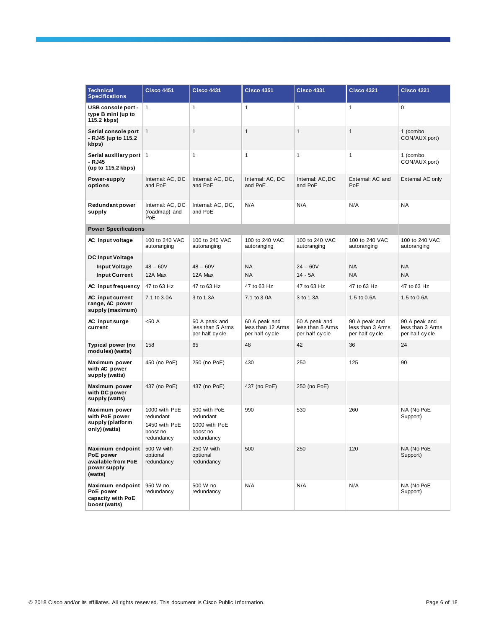| <b>Technical</b><br><b>Specifications</b>                                      | <b>Cisco 4451</b>                                                     | <b>Cisco 4431</b>                                                    | <b>Cisco 4351</b>                                    | <b>Cisco 4331</b>                                   | <b>Cisco 4321</b>                                   | <b>Cisco 4221</b>                                   |
|--------------------------------------------------------------------------------|-----------------------------------------------------------------------|----------------------------------------------------------------------|------------------------------------------------------|-----------------------------------------------------|-----------------------------------------------------|-----------------------------------------------------|
| USB console port -<br>type B mini (up to<br>115.2 kbps)                        | $\mathbf{1}$                                                          | $\mathbf{1}$                                                         | 1                                                    | $\mathbf{1}$                                        | 1                                                   | $\mathbf 0$                                         |
| Serial console port<br>- RJ45 (up to 115.2<br>kbps)                            | $\mathbf{1}$                                                          | $\mathbf{1}$                                                         | 1                                                    | $\mathbf{1}$                                        | $\mathbf{1}$                                        | 1 (combo<br>CON/AUX port)                           |
| Serial auxiliary port   1<br>- RJ45<br>(up to 115.2 kbps)                      |                                                                       | 1                                                                    | 1                                                    | $\mathbf{1}$                                        | 1                                                   | 1 (combo<br>CON/AUX port)                           |
| Power-supply<br>options                                                        | Internal: AC, DC<br>and PoE                                           | Internal: AC, DC,<br>and PoE                                         | Internal: AC, DC<br>and PoE                          | Internal: AC, DC<br>and PoE                         | External: AC and<br>PoE                             | External AC only                                    |
| <b>Redundant power</b><br>supply                                               | Internal: AC, DC<br>(roadmap) and<br>PoE                              | Internal: AC, DC,<br>and PoE                                         | N/A                                                  | N/A                                                 | N/A                                                 | <b>NA</b>                                           |
| <b>Power Specifications</b>                                                    |                                                                       |                                                                      |                                                      |                                                     |                                                     |                                                     |
| AC input voltage                                                               | 100 to 240 VAC<br>autoranging                                         | 100 to 240 VAC<br>autoranging                                        | 100 to 240 VAC<br>autoranging                        | 100 to 240 VAC<br>autoranging                       | 100 to 240 VAC<br>autoranging                       | 100 to 240 VAC<br>autoranging                       |
| <b>DC Input Voltage</b>                                                        |                                                                       |                                                                      |                                                      |                                                     |                                                     |                                                     |
| <b>Input Voltage</b>                                                           | $48 - 60V$                                                            | $48 - 60V$                                                           | ΝA                                                   | $24 - 60V$                                          | <b>NA</b>                                           | <b>NA</b>                                           |
| <b>Input Current</b>                                                           | 12A Max                                                               | 12A Max                                                              | <b>NA</b>                                            | $14 - 5A$                                           | <b>NA</b>                                           | <b>NA</b>                                           |
| AC input frequency                                                             | 47 to 63 Hz                                                           | 47 to 63 Hz                                                          | 47 to 63 Hz                                          | 47 to 63 Hz                                         | 47 to 63 Hz                                         | 47 to 63 Hz                                         |
| AC input current<br>range, AC power<br>supply (maximum)                        | 7.1 to 3.0A                                                           | 3 to 1.3A                                                            | 7.1 to 3.0A                                          | 3 to 1.3A                                           | 1.5 to 0.6A                                         | 1.5 to 0.6A                                         |
| AC input surge<br>current                                                      | < 50 A                                                                | 60 A peak and<br>less than 5 Arms<br>per half cycle                  | 60 A peak and<br>less than 12 Arms<br>per half cycle | 60 A peak and<br>less than 5 Arms<br>per half cycle | 90 A peak and<br>less than 3 Arms<br>per half cycle | 90 A peak and<br>less than 3 Arms<br>per half cycle |
| Typical power (no<br>modules) (watts)                                          | 158                                                                   | 65                                                                   | 48                                                   | 42                                                  | 36                                                  | 24                                                  |
| Maximum power<br>with AC power<br>supply (watts)                               | 450 (no PoE)                                                          | 250 (no PoE)                                                         | 430                                                  | 250                                                 | 125                                                 | 90                                                  |
| Maximum power<br>with DC power<br>supply (watts)                               | 437 (no PoE)                                                          | 437 (no PoE)                                                         | 437 (no PoE)                                         | 250 (no PoE)                                        |                                                     |                                                     |
| Maximum power<br>with PoE power<br>supply (platform<br>only) (watts)           | 1000 with PoE<br>redundant<br>1450 with PoE<br>boost no<br>redundancy | 500 with PoE<br>redundant<br>1000 with PoE<br>boost no<br>redundancy | 990                                                  | 530                                                 | 260                                                 | NA (No PoE<br>Support)                              |
| Maximum endpoint<br>PoE power<br>available from PoE<br>power supply<br>(watts) | 500 W with<br>optional<br>redundancy                                  | 250 W with<br>optional<br>redundancy                                 | 500                                                  | 250                                                 | 120                                                 | NA (No PoE<br>Support)                              |
| Maximum endpoint<br>PoE power<br>capacity with PoE<br>boost (watts)            | 950 W no<br>redundancy                                                | 500 W no<br>redundancy                                               | N/A                                                  | N/A                                                 | N/A                                                 | NA (No PoE<br>Support)                              |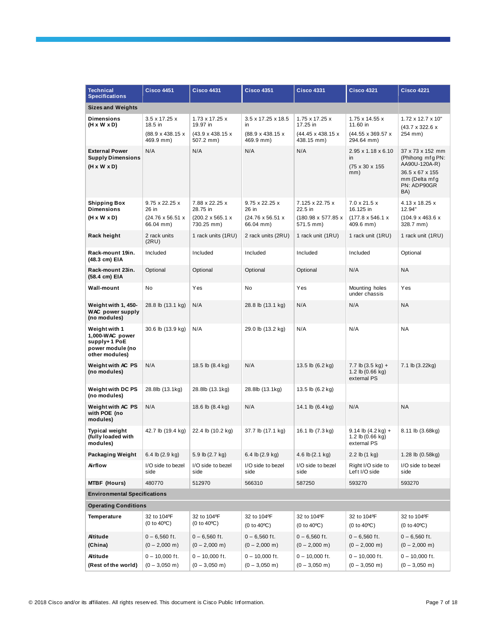| <b>Technical</b><br><b>Specifications</b>                                              | <b>Cisco 4451</b>                                                    | <b>Cisco 4431</b>                                                        | <b>Cisco 4351</b>                                        | <b>Cisco 4331</b>                                             | <b>Cisco 4321</b>                                                                  | <b>Cisco 4221</b>                                                                                               |
|----------------------------------------------------------------------------------------|----------------------------------------------------------------------|--------------------------------------------------------------------------|----------------------------------------------------------|---------------------------------------------------------------|------------------------------------------------------------------------------------|-----------------------------------------------------------------------------------------------------------------|
| <b>Sizes and Weights</b>                                                               |                                                                      |                                                                          |                                                          |                                                               |                                                                                    |                                                                                                                 |
| <b>Dimensions</b><br>(H x W x D)                                                       | $3.5 \times 17.25 \times$<br>18.5 in                                 | 1.73 x 17.25 x<br>19.97 in                                               | 3.5 x 17.25 x 18.5<br>in.                                | 1.75 x 17.25 x<br>17.25 in                                    | 1.75 x 14.55 x<br>11.60 in                                                         | 1.72 x 12.7 x 10"<br>(43.7 x 322.6 x                                                                            |
|                                                                                        | (88.9 x 438.15 x<br>469.9 mm)                                        | (43.9 x 438.15 x<br>507.2 mm)                                            | (88.9 x 438.15 x<br>469.9 mm)                            | (44.45 x 438.15 x<br>438.15 mm)                               | (44.55 x 369.57 x<br>294.64 mm)                                                    | 254 mm)                                                                                                         |
| <b>External Power</b><br><b>Supply Dimensions</b><br>$(H \times W \times D)$           | N/A                                                                  | N/A                                                                      | N/A                                                      | N/A                                                           | $2.95 \times 1.18 \times 6.10$<br>in<br>(75 x 30 x 155)<br>mm)                     | 37 x 73 x 152 mm<br>(Phihong mfg PN:<br>AA90U-120A-R)<br>36.5 x 67 x 155<br>mm (Delta mfg<br>PN: ADP90GR<br>BA) |
| Shipping Box<br><b>Dimensions</b><br>(H x W x D)                                       | 9.75 x 22.25 x<br>26 in<br>$(24.76 \times 56.51 \times$<br>66.04 mm) | 7.88 x 22.25 x<br>28.75 in<br>$(200.2 \times 565.1 \times$<br>730.25 mm) | 9.75 x 22.25 x<br>26 in<br>(24.76 x 56.51 x<br>66.04 mm) | 7.125 x 22.75 x<br>22.5 in<br>(180.98 x 577.85 x<br>571.5 mm) | $7.0 \times 21.5 \times$<br>16.125 in<br>$(177.8 \times 546.1 \times$<br>409.6 mm) | 4.13 x 18.25 x<br>12.94"<br>$(104.9 \times 463.6 \times$<br>328.7 mm)                                           |
| Rack height                                                                            | 2 rack units<br>(2RU)                                                | 1 rack units (1RU)                                                       | 2 rack units (2RU)                                       | 1 rack unit (1RU)                                             | 1 rack unit (1RU)                                                                  | 1 rack unit (1RU)                                                                                               |
| Rack-mount 19in.<br>(48.3 cm) EIA                                                      | Included                                                             | Included                                                                 | Included                                                 | Included                                                      | Included                                                                           | Optional                                                                                                        |
| Rack-mount 23in.<br>(58.4 cm) EIA                                                      | Optional                                                             | Optional                                                                 | Optional                                                 | Optional                                                      | N/A                                                                                | <b>NA</b>                                                                                                       |
| Wall-mount                                                                             | No                                                                   | Yes                                                                      | No                                                       | Yes                                                           | Mounting holes<br>under chassis                                                    | Yes                                                                                                             |
| Weight with 1, 450-<br><b>WAC</b> power supply<br>(no modules)                         | 28.8 lb (13.1 kg)                                                    | N/A                                                                      | 28.8 lb (13.1 kg)                                        | N/A                                                           | N/A                                                                                | <b>NA</b>                                                                                                       |
| Weight with 1<br>1,000-WAC power<br>supply+1 PoE<br>power module (no<br>other modules) | 30.6 lb (13.9 kg)                                                    | N/A                                                                      | 29.0 lb (13.2 kg)                                        | N/A                                                           | N/A                                                                                | <b>NA</b>                                                                                                       |
| Weight with AC PS<br>(no modules)                                                      | N/A                                                                  | 18.5 lb (8.4 kg)                                                         | N/A                                                      | 13.5 lb (6.2 kg)                                              | 7.7 lb $(3.5 \text{ kg}) +$<br>1.2 lb $(0.66$ kg)<br>external PS                   | 7.1 lb (3.22kg)                                                                                                 |
| Weight with DC PS<br>(no modules)                                                      | 28.8lb (13.1kg)                                                      | 28.8lb (13.1kg)                                                          | 28.8lb (13.1kg)                                          | 13.5 lb (6.2 kg)                                              |                                                                                    |                                                                                                                 |
| Weight with AC PS<br>with POE (no<br>modules)                                          | N/A                                                                  | 18.6 lb (8.4 kg)                                                         | N/A                                                      | 14.1 lb (6.4 kg)                                              | N/A                                                                                | <b>NA</b>                                                                                                       |
| <b>Typical weight</b><br>(fully loaded with<br>modules)                                | 42.7 lb (19.4 kg)                                                    | 22.4 lb (10.2 kg)                                                        | 37.7 lb (17.1 kg)                                        | 16.1 lb (7.3 kg)                                              | $9.14$ lb $(4.2$ kg) +<br>1.2 lb $(0.66$ kg)<br>external PS                        | 8.11 lb (3.68kg)                                                                                                |
| Packaging Weight                                                                       | 6.4 lb (2.9 kg)                                                      | 5.9 lb (2.7 kg)                                                          | 6.4 lb (2.9 kg)                                          | 4.6 lb (2.1 kg)                                               | 2.2 lb (1 kg)                                                                      | 1.28 lb (0.58kg)                                                                                                |
| Airflow                                                                                | I/O side to bezel<br>side                                            | I/O side to bezel<br>side                                                | I/O side to bezel<br>side                                | I/O side to bezel<br>side                                     | Right I/O side to<br>Left I/O side                                                 | I/O side to bezel<br>side                                                                                       |
| <b>MTBF (Hours)</b>                                                                    | 480770                                                               | 512970                                                                   | 566310                                                   | 587250                                                        | 593270                                                                             | 593270                                                                                                          |
| <b>Environmental Specifications</b>                                                    |                                                                      |                                                                          |                                                          |                                                               |                                                                                    |                                                                                                                 |
| <b>Operating Conditions</b>                                                            |                                                                      |                                                                          |                                                          |                                                               |                                                                                    |                                                                                                                 |
| Temperature                                                                            | 32 to 104ºF<br>(0 to 40°C)                                           | 32 to 104°F<br>(0 to 40°C)                                               | 32 to 104°F<br>$(0 to 40^{\circ}C)$                      | 32 to 104°F<br>(0 to 40°C)                                    | 32 to 104°F<br>(0 to 40°C)                                                         | 32 to 104°F<br>(0 to 40°C)                                                                                      |
| <b>Altitude</b><br>(China)                                                             | $0 - 6,560$ ft.<br>$(0 - 2,000 \text{ m})$                           | $0 - 6,560$ ft.<br>$(0 - 2,000 \text{ m})$                               | $0 - 6,560$ ft.<br>$(0 - 2,000 \text{ m})$               | $0 - 6,560$ ft.<br>$(0 - 2,000 \text{ m})$                    | $0 - 6,560$ ft.<br>$(0 - 2,000 \text{ m})$                                         | $0 - 6,560$ ft.<br>$(0 - 2,000 \text{ m})$                                                                      |
| <b>Altitude</b>                                                                        | $0 - 10,000$ ft.                                                     | $0 - 10,000$ ft.                                                         | $0 - 10,000$ ft.                                         | $0 - 10,000$ ft.                                              | $0 - 10,000$ ft.                                                                   | $0 - 10,000$ ft.                                                                                                |
| (Rest of the world)                                                                    | $(0 - 3,050 \text{ m})$                                              | $(0 - 3,050 \text{ m})$                                                  | $(0 - 3,050 \text{ m})$                                  | $(0 - 3,050 \text{ m})$                                       | $(0 - 3,050 \text{ m})$                                                            | $(0 - 3,050 \text{ m})$                                                                                         |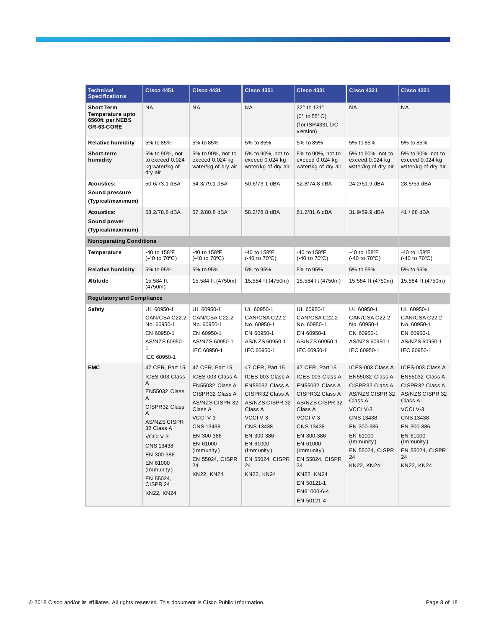| <b>Technical</b><br><b>Specifications</b>                              | <b>Cisco 4451</b>                                                                                                                                                                                                               | <b>Cisco 4431</b>                                                                                                                                                                                               | <b>Cisco 4351</b>                                                                                                                                                                                                                 | <b>Cisco 4331</b>                                                                                                                                                                                                                                                                   | <b>Cisco 4321</b>                                                                                                                                                                                   | <b>Cisco 4221</b>                                                                                                                                                                            |
|------------------------------------------------------------------------|---------------------------------------------------------------------------------------------------------------------------------------------------------------------------------------------------------------------------------|-----------------------------------------------------------------------------------------------------------------------------------------------------------------------------------------------------------------|-----------------------------------------------------------------------------------------------------------------------------------------------------------------------------------------------------------------------------------|-------------------------------------------------------------------------------------------------------------------------------------------------------------------------------------------------------------------------------------------------------------------------------------|-----------------------------------------------------------------------------------------------------------------------------------------------------------------------------------------------------|----------------------------------------------------------------------------------------------------------------------------------------------------------------------------------------------|
| <b>Short Term</b><br>Temperature upto<br>6560ft per NEBS<br>GR-63-CORE | <b>NA</b>                                                                                                                                                                                                                       | <b>NA</b>                                                                                                                                                                                                       | <b>NA</b>                                                                                                                                                                                                                         | 32° to 131°<br>$(0^{\circ}$ to 55 $^{\circ}$ C)<br>(f or ISR4331-DC<br>v ersion)                                                                                                                                                                                                    | <b>NA</b>                                                                                                                                                                                           | <b>NA</b>                                                                                                                                                                                    |
| <b>Relative humidity</b>                                               | 5% to 85%                                                                                                                                                                                                                       | 5% to 85%                                                                                                                                                                                                       | 5% to 85%                                                                                                                                                                                                                         | 5% to 85%                                                                                                                                                                                                                                                                           | 5% to 85%                                                                                                                                                                                           | 5% to 85%                                                                                                                                                                                    |
| Short-term<br>humidity                                                 | 5% to 90%, not<br>to exceed 0.024<br>kg water/kg of<br>dry air                                                                                                                                                                  | 5% to 90%, not to<br>exceed 0.024 kg<br>water/kg of dry air                                                                                                                                                     | 5% to 90%, not to<br>exceed 0.024 kg<br>water/kg of dry air                                                                                                                                                                       | 5% to 90%, not to<br>exceed 0.024 kg<br>water/kg of dry air                                                                                                                                                                                                                         | 5% to 90%, not to<br>exceed 0.024 kg<br>water/kg of dry air                                                                                                                                         | 5% to 90%, not to<br>exceed 0.024 kg<br>water/kg of dry air                                                                                                                                  |
| <b>Acoustics:</b><br>Sound pressure<br>(Typical/maximum)               | 50.6/73.1 dBA                                                                                                                                                                                                                   | 54.3/79.1 dBA                                                                                                                                                                                                   | 50.6/73.1 dBA                                                                                                                                                                                                                     | 52.8/74.8 dBA                                                                                                                                                                                                                                                                       | 24.2/51.9 dBA                                                                                                                                                                                       | 28.5/53 dBA                                                                                                                                                                                  |
| <b>Acoustics:</b><br>Sound power<br>(Typical/maximum)                  | 58.2/78.8 dBA                                                                                                                                                                                                                   | 57.2/80.8 dBA                                                                                                                                                                                                   | 58.2/78.8 dBA                                                                                                                                                                                                                     | 61.2/81.6 dBA                                                                                                                                                                                                                                                                       | 31.9/59.9 dBA                                                                                                                                                                                       | 41 / 68 dBA                                                                                                                                                                                  |
| <b>Nonoperating Conditions</b>                                         |                                                                                                                                                                                                                                 |                                                                                                                                                                                                                 |                                                                                                                                                                                                                                   |                                                                                                                                                                                                                                                                                     |                                                                                                                                                                                                     |                                                                                                                                                                                              |
| Temperature                                                            | -40 to 158°F<br>$(-40 \text{ to } 70^{\circ}\text{C})$                                                                                                                                                                          | -40 to 158°F<br>$(-40 \text{ to } 70^{\circ}\text{C})$                                                                                                                                                          | -40 to 158ºF<br>(-40 to 70°C)                                                                                                                                                                                                     | -40 to 158°F<br>$(-40 \text{ to } 70^{\circ}\text{C})$                                                                                                                                                                                                                              | -40 to 158°F<br>$(-40 \text{ to } 70^{\circ}\text{C})$                                                                                                                                              | -40 to 158ºF<br>(-40 to 70 <sup>o</sup> C)                                                                                                                                                   |
| <b>Relative humidity</b>                                               | 5% to 95%                                                                                                                                                                                                                       | 5% to 95%                                                                                                                                                                                                       | 5% to 95%                                                                                                                                                                                                                         | 5% to 95%                                                                                                                                                                                                                                                                           | 5% to 95%                                                                                                                                                                                           | 5% to 95%                                                                                                                                                                                    |
| <b>Altitude</b>                                                        | 15,584 ft<br>(4750m)                                                                                                                                                                                                            | 15,584 ft (4750m)                                                                                                                                                                                               | 15,584 ft (4750m)                                                                                                                                                                                                                 | 15,584 ft (4750m)                                                                                                                                                                                                                                                                   | 15,584 ft (4750m)                                                                                                                                                                                   | 15,584 ft (4750m)                                                                                                                                                                            |
| <b>Regulatory and Compliance</b>                                       |                                                                                                                                                                                                                                 |                                                                                                                                                                                                                 |                                                                                                                                                                                                                                   |                                                                                                                                                                                                                                                                                     |                                                                                                                                                                                                     |                                                                                                                                                                                              |
| <b>Safety</b>                                                          | UL 60950-1<br>CAN/CSA C22.2<br>No. 60950-1<br>EN 60950-1<br>AS/NZS 60950-<br>1<br>IEC 60950-1                                                                                                                                   | UL 60950-1<br>CAN/CSA C22.2<br>No. 60950-1<br>EN 60950-1<br>AS/NZS 60950-1<br>IEC 60950-1                                                                                                                       | UL 60950-1<br>CAN/CSA C22.2<br>No. 60950-1<br>EN 60950-1<br>AS/NZS 60950-1<br>IEC 60950-1                                                                                                                                         | UL 60950-1<br>CAN/CSA C22.2<br>No. 60950-1<br>EN 60950-1<br>AS/NZS 60950-1<br>IEC 60950-1                                                                                                                                                                                           | UL 60950-1<br>CAN/CSA C22.2<br>No. 60950-1<br>EN 60950-1<br>AS/NZS 60950-1<br>IEC 60950-1                                                                                                           | UL 60950-1<br>CAN/CSA C22.2<br>No. 60950-1<br>EN 60950-1<br>AS/NZS 60950-1<br>IEC 60950-1                                                                                                    |
| <b>EMC</b>                                                             | 47 CFR, Part 15<br>ICES-003 Class<br>Α<br>EN55032 Class<br>Α<br>CISPR32 Class<br>A<br><b>AS/NZS CISPR</b><br>32 Class A<br>VCCI V-3<br>CNS 13438<br>EN 300-386<br>EN 61000<br>(Immunity)<br>EN 55024,<br>CISPR 24<br>KN22, KN24 | 47 CFR, Part 15<br>ICES-003 Class A<br>EN55032 Class A<br>CISPR32 Class A<br>AS/NZS CISPR 32<br>Class A<br>VCCI V-3<br>CNS 13438<br>EN 300-386<br>EN 61000<br>(Immunity)<br>EN 55024, CISPR<br>24<br>KN22, KN24 | 47 CFR, Part 15<br>ICES-003 Class A<br>EN55032 Class A<br>CISPR32 Class A<br>AS/NZS CISPR 32<br>Class A<br>VCCI <sub>V-3</sub><br><b>CNS 13438</b><br>EN 300-386<br>EN 61000<br>(Immunity)<br>EN 55024, CISPR<br>24<br>KN22, KN24 | 47 CFR, Part 15<br>ICES-003 Class A<br>EN55032 Class A<br>CISPR32 Class A<br><b>AS/NZS CISPR 32</b><br>Class A<br>VCCI <sub>V-3</sub><br>CNS 13438<br>EN 300-386<br>EN 61000<br>(Immunity)<br><b>EN 55024, CISPR</b><br>24<br>KN22, KN24<br>EN 50121-1<br>EN61000-6-4<br>EN 50121-4 | ICES-003 Class A<br>EN55032 Class A<br>CISPR32 Class A<br>AS/NZS CISPR 32<br>Class A<br>VCCI V-3<br><b>CNS 13438</b><br>EN 300-386<br>EN 61000<br>(Immunity)<br>EN 55024, CISPR<br>24<br>KN22, KN24 | ICES-003 Class A<br>EN55032 Class A<br>CISPR32 Class A<br>AS/NZS CISPR 32<br>Class A<br>VCCI V-3<br>CNS 13438<br>EN 300-386<br>EN 61000<br>(Immunity)<br>EN 55024, CISPR<br>24<br>KN22, KN24 |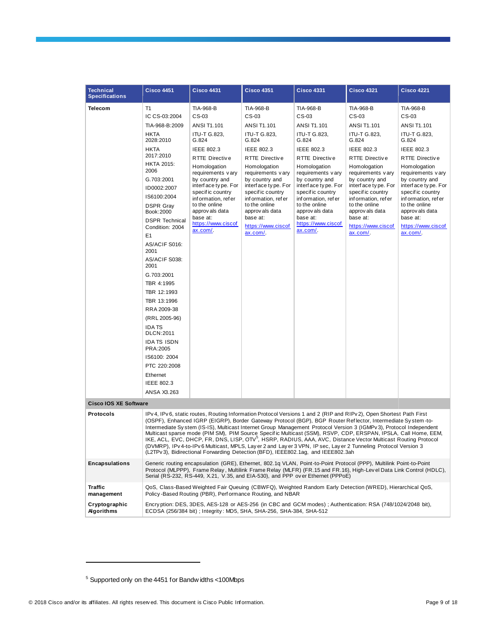| <b>Technical</b><br><b>Specifications</b> | <b>Cisco 4451</b>                                                                                                                                                                                                                                                                                                                                                                                                                                                                                                                                                                                                                                                                                                                                                                                                   | <b>Cisco 4431</b>                                                                                                                                                                                                                                                                                                             | <b>Cisco 4351</b>                                                                                                                                                                                                                                                                                                                   | <b>Cisco 4331</b>                                                                                                                                                                                                                                                                                                                | <b>Cisco 4321</b>                                                                                                                                                                                                                                                                                                     | <b>Cisco 4221</b>                                                                                                                                                                                                                                                                                                           |
|-------------------------------------------|---------------------------------------------------------------------------------------------------------------------------------------------------------------------------------------------------------------------------------------------------------------------------------------------------------------------------------------------------------------------------------------------------------------------------------------------------------------------------------------------------------------------------------------------------------------------------------------------------------------------------------------------------------------------------------------------------------------------------------------------------------------------------------------------------------------------|-------------------------------------------------------------------------------------------------------------------------------------------------------------------------------------------------------------------------------------------------------------------------------------------------------------------------------|-------------------------------------------------------------------------------------------------------------------------------------------------------------------------------------------------------------------------------------------------------------------------------------------------------------------------------------|----------------------------------------------------------------------------------------------------------------------------------------------------------------------------------------------------------------------------------------------------------------------------------------------------------------------------------|-----------------------------------------------------------------------------------------------------------------------------------------------------------------------------------------------------------------------------------------------------------------------------------------------------------------------|-----------------------------------------------------------------------------------------------------------------------------------------------------------------------------------------------------------------------------------------------------------------------------------------------------------------------------|
| <b>Telecom</b>                            | T1<br>IC CS-03:2004<br>TIA-968-B:2009<br><b>HKTA</b><br>2028:2010<br>HKTA<br>2017:2010<br><b>HKTA 2015:</b><br>2006<br>G.703:2001<br>ID0002:2007<br>IS6100:2004<br><b>DSPR Gray</b><br>Book: 2000<br><b>DSPR Technical</b><br>Condition: 2004<br>E <sub>1</sub><br>AS/ACIF S016:<br>2001<br>AS/ACIF S038:<br>2001<br>G.703:2001<br>TBR 4:1995<br>TBR 12:1993<br>TBR 13:1996<br>RRA 2009-38<br>(RRL 2005-96)<br><b>IDATS</b><br><b>DLCN:2011</b><br><b>IDATS ISDN</b><br>PRA: 2005<br>IS6100: 2004<br>PTC 220:2008<br>Ethernet<br>IEEE 802.3<br>ANSA X3.263                                                                                                                                                                                                                                                          | TIA-968-B<br>$CS-03$<br>ANSI T1.101<br>ITU-T G.823,<br>G.824<br><b>IEEE 802.3</b><br><b>RTTE Directive</b><br>Homologation<br>requirements vary<br>by country and<br>interface type. For<br>specific country<br>information, refer<br>to the online<br>approv als data<br>base at:<br>https://www.ciscof<br>$ax.com/$ .       | TIA-968-B<br>CS-03<br><b>ANSI T1.101</b><br><b>ITU-T G.823,</b><br>G.824<br><b>IEEE 802.3</b><br><b>RTTE Directive</b><br>Homologation<br>requirements vary<br>by country and<br>interface type. For<br>specific country<br>information, refer<br>to the online<br>approv als data<br>base at:<br>https://www.ciscof<br>$ax.com/$ . | <b>TIA-968-B</b><br>CS-03<br><b>ANSI T1.101</b><br><b>ITU-T G.823.</b><br>G.824<br>IEEE 802.3<br><b>RTTE Directive</b><br>Homologation<br>requirements vary<br>by country and<br>interface type. For<br>specific country<br>information, refer<br>to the online<br>approv als data<br>base at:<br>https://www.ciscof<br>ax.com/. | TIA-968-B<br>CS-03<br>ANSI T1.101<br><b>ITU-T G.823,</b><br>G.824<br>IEEE 802.3<br><b>RTTE Directive</b><br>Homologation<br>requirements vary<br>by country and<br>interface type. For<br>specific country<br>information, refer<br>to the online<br>approv als data<br>base at:<br>https://www.ciscof<br>$ax.com/$ . | TIA-968-B<br>$CS-03$<br><b>ANSI T1.101</b><br>ITU-T G.823,<br>G.824<br><b>IEEE 802.3</b><br><b>RTTE Directive</b><br>Homologation<br>requirements vary<br>by country and<br>interface type. For<br>specific country<br>information, refer<br>to the online<br>approv als data<br>base at:<br>https://www.ciscof<br>ax.com/. |
| <b>Cisco IOS XE Software</b>              |                                                                                                                                                                                                                                                                                                                                                                                                                                                                                                                                                                                                                                                                                                                                                                                                                     |                                                                                                                                                                                                                                                                                                                               |                                                                                                                                                                                                                                                                                                                                     |                                                                                                                                                                                                                                                                                                                                  |                                                                                                                                                                                                                                                                                                                       |                                                                                                                                                                                                                                                                                                                             |
| <b>Protocols</b>                          | IPv 4, IPv 6, static routes, Routing Information Protocol Versions 1 and 2 (RIP and RIPv 2), Open Shortest Path First<br>(OSPF), Enhanced IGRP (EIGRP), Border Gateway Protocol (BGP), BGP Router Reflector, Intermediate System-to-<br>Intermediate System (IS-IS), Multicast Internet Group Management Protocol Version 3 (IGMPv3), Protocol Independent<br>Multicast sparse mode (PIM SM), PIM Source Specific Multicast (SSM), RSVP, CDP, ERSPAN, IPSLA, Call Home, EEM,<br>IKE, ACL, EVC, DHCP, FR, DNS, LISP, OTV <sup>5</sup> , HSRP, RADIUS, AAA, AVC, Distance Vector Multicast Routing Protocol<br>(DVMRP), IPv 4-to-IPv 6 Multicast, MPLS, Lay er 2 and Lay er 3 VPN, IP sec, Lay er 2 Tunneling Protocol Version 3<br>(L2TPv 3), Bidirectional Forwarding Detection (BFD), IEEE802.1ag, and IEEE802.3ah |                                                                                                                                                                                                                                                                                                                               |                                                                                                                                                                                                                                                                                                                                     |                                                                                                                                                                                                                                                                                                                                  |                                                                                                                                                                                                                                                                                                                       |                                                                                                                                                                                                                                                                                                                             |
| <b>Encapsulations</b>                     |                                                                                                                                                                                                                                                                                                                                                                                                                                                                                                                                                                                                                                                                                                                                                                                                                     | Generic routing encapsulation (GRE), Ethernet, 802.1q VLAN, Point-to-Point Protocol (PPP), Multilink Point-to-Point<br>Protocol (MLPPP), Frame Relay, Multilink Frame Relay (MLFR) (FR.15 and FR.16), High-Level Data Link Control (HDLC),<br>Serial (RS-232, RS-449, X.21, V.35, and EIA-530), and PPP over Ethernet (PPPoE) |                                                                                                                                                                                                                                                                                                                                     |                                                                                                                                                                                                                                                                                                                                  |                                                                                                                                                                                                                                                                                                                       |                                                                                                                                                                                                                                                                                                                             |
| Traffic<br>management                     |                                                                                                                                                                                                                                                                                                                                                                                                                                                                                                                                                                                                                                                                                                                                                                                                                     | Policy-Based Routing (PBR), Performance Routing, and NBAR                                                                                                                                                                                                                                                                     |                                                                                                                                                                                                                                                                                                                                     |                                                                                                                                                                                                                                                                                                                                  | QoS, Class-Based Weighted Fair Queuing (CBWFQ), Weighted Random Early Detection (WRED), Hierarchical QoS,                                                                                                                                                                                                             |                                                                                                                                                                                                                                                                                                                             |
| Cryptographic<br><b>Algorithms</b>        |                                                                                                                                                                                                                                                                                                                                                                                                                                                                                                                                                                                                                                                                                                                                                                                                                     | ECDSA (256/384 bit) ; Integrity: MD5, SHA, SHA-256, SHA-384, SHA-512                                                                                                                                                                                                                                                          |                                                                                                                                                                                                                                                                                                                                     |                                                                                                                                                                                                                                                                                                                                  | Encryption: DES, 3DES, AES-128 or AES-256 (in CBC and GCM modes); Authentication: RSA (748/1024/2048 bit),                                                                                                                                                                                                            |                                                                                                                                                                                                                                                                                                                             |

<span id="page-8-0"></span><sup>5</sup> Supported only on the 4451 for Bandw idths <100Mbps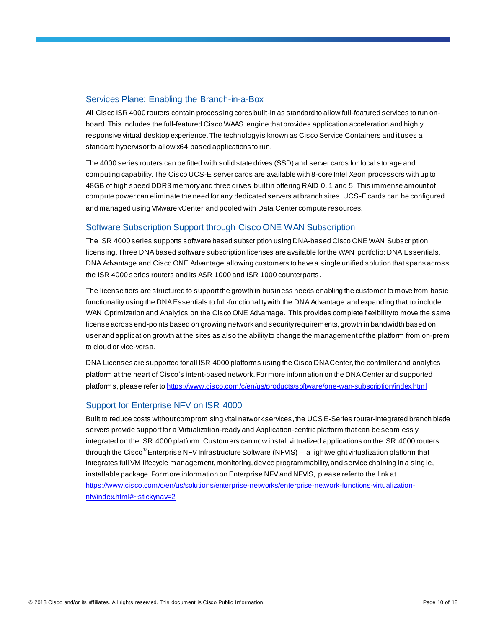## Services Plane: Enabling the Branch-in-a-Box

All Cisco ISR 4000 routers contain processing cores built-in as standard to allow full-featured services to run onboard. This includes the full-featured Cisco WAAS engine that provides application acceleration and highly responsive virtual desktop experience. The technology is known as Cisco Service Containers and it uses a standard hypervisor to allow x64 based applications to run.

The 4000 series routers can be fitted with solid state drives (SSD) and server cards for local storage and computing capability. The Cisco UCS-E server cards are available with 8-core Intel Xeon processors with up to 48GB of high speed DDR3 memory and three drives built in offering RAID 0, 1 and 5. This immense amount of compute power can eliminate the need for any dedicated servers at branch sites. UCS-E cards can be configured and managed using VMware vCenter and pooled with Data Center compute resources.

## Software Subscription Support through Cisco ONE WAN Subscription

The ISR 4000 series supports software based subscription using DNA-based Cisco ONE WAN Subscription licensing. Three DNA based software subscription licenses are available for the WAN portfolio: DNA Essentials, DNA Advantage and Cisco ONE Advantage allowing customers to have a single unified solution that spans across the ISR 4000 series routers and its ASR 1000 and ISR 1000 counterparts.

The license tiers are structured to support the growth in business needs enabling the customer to move from basic functionality using the DNA Essentials to full-functionality with the DNA Advantage and expanding that to include WAN Optimization and Analytics on the Cisco ONE Advantage. This provides complete flexibility to move the same license across end-points based on growing network and security requirements, growth in bandwidth based on user and application growth at the sites as also the ability to change the management of the platform from on-prem to cloud or vice-versa.

DNA Licenses are supported for all ISR 4000 platforms using the Cisco DNA Center, the controller and analytics platform at the heart of Cisco's intent-based network. For more information on the DNA Center and supported platforms, please refer t[o https://www.cisco.com/c/en/us/products/software/one-wan-subscription/index.html](https://www.cisco.com/c/en/us/products/software/one-wan-subscription/index.html)

## Support for Enterprise NFV on ISR 4000

Built to reduce costs without compromising vital network services, the UCS E-Series router-integrated branch blade servers provide support for a Virtualization-ready and Application-centric platform that can be seamlessly integrated on the ISR 4000 platform.Customers can now install virtualized applications on the ISR 4000 routers through the Cisco® Enterprise NFV Infrastructure Software (NFVIS) – a lightweight virtualization platform that integrates full VM lifecycle management, monitoring, device programmability, and service chaining in a sing le, installable package. For more information on Enterprise NFV and NFVIS, please refer to the link at [https://www.cisco.com/c/en/us/solutions/enterprise-networks/enterprise-network-functions-virtualization](https://www.cisco.com/c/en/us/solutions/enterprise-networks/enterprise-network-functions-virtualization-nfv/index.html#~stickynav=2)[nfv/index.html#~stickynav=2](https://www.cisco.com/c/en/us/solutions/enterprise-networks/enterprise-network-functions-virtualization-nfv/index.html#~stickynav=2)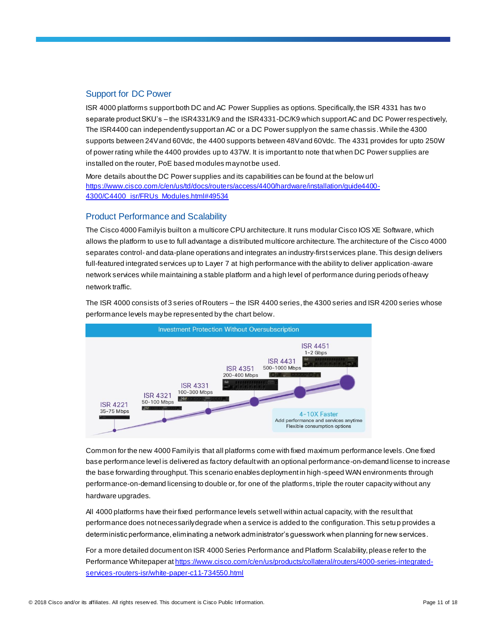## Support for DC Power

ISR 4000 platforms support both DC and AC Power Supplies as options. Specifically, the ISR 4331 has tw o separate product SKU's – the ISR4331/K9 and the ISR4331-DC/K9 which support AC and DC Power respectively, The ISR4400 can independently support an AC or a DC Power supply on the same chassis. While the 4300 supports between 24V and 60Vdc, the 4400 supports between 48V and 60Vdc. The 4331 provides for upto 250W of power rating while the 4400 provides up to 437W. It is important to note that when DC Power supplies are installed on the router, PoE based modules may not be used.

More details about the DC Power supplies and its capabilities can be found at the below url [https://www.cisco.com/c/en/us/td/docs/routers/access/4400/hardware/installation/guide4400-](https://www.cisco.com/c/en/us/td/docs/routers/access/4400/hardware/installation/guide4400-4300/C4400_isr/FRUs_Modules.html#49534) [4300/C4400\\_isr/FRUs\\_Modules.html#49534](https://www.cisco.com/c/en/us/td/docs/routers/access/4400/hardware/installation/guide4400-4300/C4400_isr/FRUs_Modules.html#49534)

## Product Performance and Scalability

The Cisco 4000 Family is built on a multicore CPU architecture. It runs modular Cisco IOS XE Software, which allows the platform to use to full advantage a distributed multicore architecture. The architecture of the Cisco 4000 separates control- and data-plane operations and integrates an industry-first services plane. This design delivers full-featured integrated services up to Layer 7 at high performance with the ability to deliver application-aware network services while maintaining a stable platform and a high level of performance during periods of heavy network traffic.

The ISR 4000 consists of 3 series of Routers – the ISR 4400 series, the 4300 series and ISR 4200 series whose performance levels maybe represented by the chart below.



Common for the new 4000 Family is that all platforms come with fixed maximum performance levels. One fixed base performance level is delivered as factory default with an optional performance-on-demand license to increase the base forwarding throughput. This scenario enables deployment in high-speed WAN environments through performance-on-demand licensing to double or, for one of the platforms, triple the router capacity without any hardware upgrades.

All 4000 platforms have their fixed performance levels set well within actual capacity, with the result that performance does not necessarily degrade when a service is added to the configuration. This setu p provides a deterministic performance, eliminating a network administrator's guesswork when planning for new services.

For a more detailed document on ISR 4000 Series Performance and Platform Scalability, please refer to the Performance Whitepaper a[t https://www.cisco.com/c/en/us/products/collateral/routers/4000-series-integrated](https://www.cisco.com/c/en/us/products/collateral/routers/4000-series-integrated-services-routers-isr/white-paper-c11-734550.html)[services-routers-isr/white-paper-c11-734550.html](https://www.cisco.com/c/en/us/products/collateral/routers/4000-series-integrated-services-routers-isr/white-paper-c11-734550.html)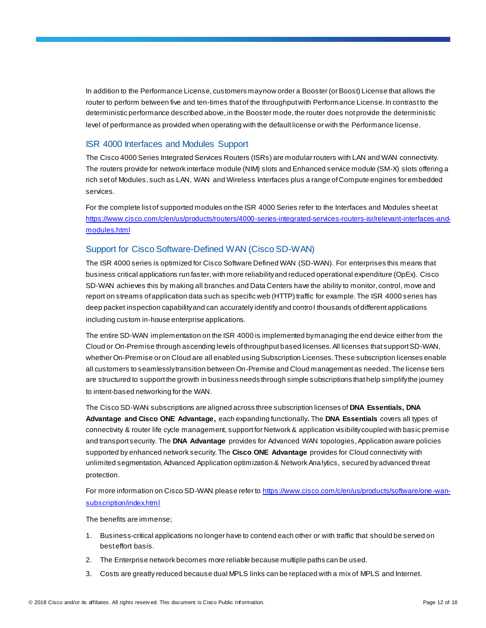In addition to the Performance License, customers may now order a Booster (or Boost) License that allows the router to perform between five and ten-times that of the throughput with Performance License. In contrast to the deterministic performance described above, in the Booster mode, the router does not provide the deterministic level of performance as provided when operating with the default license or with the Performance license.

## ISR 4000 Interfaces and Modules Support

The Cisco 4000 Series Integrated Services Routers (ISRs) are modular routers with LAN and WAN connectivity. The routers provide for network interface module (NIM) slots and Enhanced service module (SM-X) slots offering a rich set of Modules, such as LAN, WAN and Wireless Interfaces plus a range of Compute engines for embedded services.

For the complete list of supported modules on the ISR 4000 Series refer to the Interfaces and Modules sheet at [https://www.cisco.com/c/en/us/products/routers/4000-series-integrated-services-routers-isr/relevant-interfaces-and](https://www.cisco.com/c/en/us/products/routers/4000-series-integrated-services-routers-isr/relevant-interfaces-and-modules.html)[modules.html](https://www.cisco.com/c/en/us/products/routers/4000-series-integrated-services-routers-isr/relevant-interfaces-and-modules.html)

## Support for Cisco Software-Defined WAN (Cisco SD-WAN)

The ISR 4000 series is optimized for Cisco Software Defined WAN (SD-WAN). For enterprises this means that business critical applications run faster, with more reliability and reduced operational expenditure (OpEx). Cisco SD-WAN achieves this by making all branches and Data Centers have the ability to monitor, control, move and report on streams of application data such as specific web (HTTP) traffic for example. The ISR 4000 series has deep packet inspection capability and can accurately identify and control thousands of different applications including custom in-house enterprise applications.

The entire SD-WAN implementation on the ISR 4000 is implemented by managing the end device either from the Cloud or On-Premise through ascending levels of throughput based licenses. All licenses that support SD-WAN, whether On-Premise or on Cloud are all enabled using Subscription Licenses. These subscription licenses enable all customers to seamlessly transition between On-Premise and Cloud management as needed. The license tiers are structured to support the growth in business needs through simple subscriptions that help simplify the journey to intent-based networking for the WAN.

The Cisco SD-WAN subscriptions are aligned across three subscription licenses of **DNA Essentials, DNA Advantage and Cisco ONE Advantage,** each expanding functionally**.** The **DNA Essentials** covers all types of connectivity & router life cycle management, support for Network & application visibility coupled with basic premise and transport security. The **DNA Advantage** provides for Advanced WAN topologies, Application aware policies supported by enhanced network security. The **Cisco ONE Advantage** provides for Cloud connectivity with unlimited segmentation, Advanced Application optimization & Network Analytics, secured by advanced threat protection.

For more information on Cisco SD-WAN please refer t[o https://www.cisco.com/c/en/us/products/software/one-wan](https://www.cisco.com/c/en/us/products/software/one-wan-subscription/index.html)[subscription/index.html](https://www.cisco.com/c/en/us/products/software/one-wan-subscription/index.html)

The benefits are immense;

- 1. Business-critical applications no longer have to contend each other or with traffic that should be served on best effort basis.
- 2. The Enterprise network becomes more reliable because multiple paths can be used.
- 3. Costs are greatly reduced because dual MPLS links can be replaced with a mix of MPLS and Internet.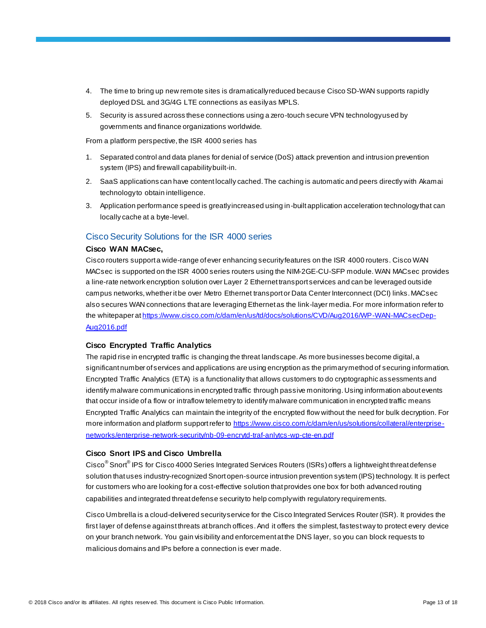- 4. The time to bring up new remote sites is dramatically reduced because Cisco SD-WAN supports rapidly deployed DSL and 3G/4G LTE connections as easily as MPLS.
- 5. Security is assured across these connections using a zero-touch secure VPN technology used by governments and finance organizations worldwide.

From a platform perspective, the ISR 4000 series has

- 1. Separated control and data planes for denial of service (DoS) attack prevention and intrusion prevention system (IPS) and firewall capability built-in.
- 2. SaaS applications can have content locally cached. The caching is automatic and peers directly with Akamai technology to obtain intelligence.
- 3. Application performance speed is greatly increased using in-built application acceleration technology that can locally cache at a byte-level.

#### Cisco Security Solutions for the ISR 4000 series

#### **Cisco WAN MACsec,**

Cisco routers support a wide-range of ever enhancing security features on the ISR 4000 routers. Cisco WAN MACsec is supported on the ISR 4000 series routers using the NIM-2GE-CU-SFP module. WAN MACsec provides a line-rate network encryption solution over Layer 2 Ethernet transport services and can be leveraged outside campus networks, whether it be over Metro Ethernet transport or Data Center Interconnect (DCI) links. MACsec also secures WAN connections that are leveraging Ethernet as the link-layer media. For more information refer to the whitepaper a[t https://www.cisco.com/c/dam/en/us/td/docs/solutions/CVD/Aug2016/WP-WAN-MACsecDep-](https://www.cisco.com/c/dam/en/us/td/docs/solutions/CVD/Aug2016/WP-WAN-MACsecDep-Aug2016.pdf)

## [Aug2016.pdf](https://www.cisco.com/c/dam/en/us/td/docs/solutions/CVD/Aug2016/WP-WAN-MACsecDep-Aug2016.pdf)

#### **Cisco Encrypted Traffic Analytics**

The rapid rise in encrypted traffic is changing the threat landscape. As more businesses become digital, a significant number of services and applications are using encryption as the primary method of securing information. Encrypted Traffic Analytics (ETA) is a functionality that allows customers to do cryptographic assessments and identify malware communications in encrypted traffic through passive monitoring. Using information about events that occur inside of a flow or intraflow telemetry to identify malware communication in encrypted traffic means Encrypted Traffic Analytics can maintain the integrity of the encrypted flow without the need for bulk decryption. For more information and platform support refer to [https://www.cisco.com/c/dam/en/us/solutions/collateral/enterprise](https://www.cisco.com/c/dam/en/us/solutions/collateral/enterprise-networks/enterprise-network-security/nb-09-encrytd-traf-anlytcs-wp-cte-en.pdf)[networks/enterprise-network-security/nb-09-encrytd-traf-anlytcs-wp-cte-en.pdf](https://www.cisco.com/c/dam/en/us/solutions/collateral/enterprise-networks/enterprise-network-security/nb-09-encrytd-traf-anlytcs-wp-cte-en.pdf)

## **Cisco Snort IPS and Cisco Umbrella**

Cisco<sup>®</sup> Snort<sup>®</sup> IPS for Cisco 4000 Series Integrated Services Routers (ISRs) offers a lightweight threat defense solution that uses industry-recognized Snort open-source intrusion prevention system (IPS) technology. It is perfect for customers who are looking for a cost-effective solution that provides one box for both advanced routing capabilities and integrated threat defense security to help comply with regulatory requirements.

Cisco Umbrella is a cloud-delivered security service for the Cisco Integrated Services Router (ISR). It provides the first layer of defense against threats at branch offices. And it offers the simplest, fastest way to protect every device on your branch network. You gain visibility and enforcement at the DNS layer, so you can block requests to malicious domains and IPs before a connection is ever made.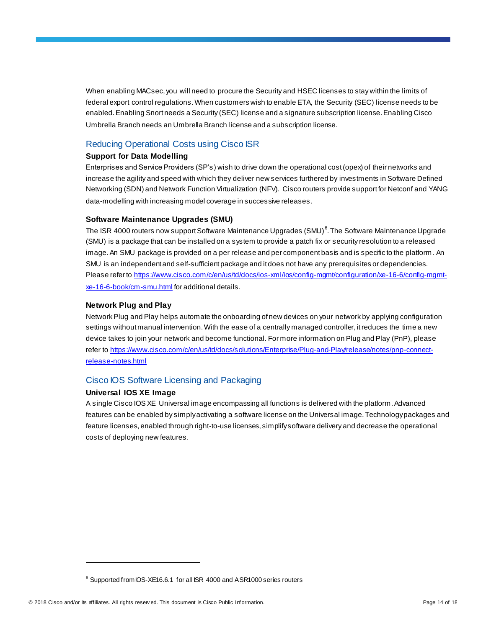When enabling MACsec, you will need to procure the Security and HSEC licenses to stay within the limits of federal export control regulations. When customers wish to enable ETA, the Security (SEC) license needs to be enabled. Enabling Snort needs a Security (SEC) license and a signature subscription license. Enabling Cisco Umbrella Branch needs an Umbrella Branch license and a subscription license.

## Reducing Operational Costs using Cisco ISR

#### **Support for Data Modelling**

Enterprises and Service Providers (SP's) wish to drive down the operational cost (opex) of their networks and increase the agility and speed with which they deliver new services furthered by investments in Software Defined Networking (SDN) and Network Function Virtualization (NFV). Cisco routers provide support for Netconf and YANG data-modelling with increasing model coverage in successive releases.

#### **Software Maintenance Upgrades (SMU)**

The ISR 4000 routers now support Software Maintenance Upgrades (SMU)<sup>6</sup>. The Software Maintenance Upgrade (SMU) is a package that can be installed on a system to provide a patch fix or security resolution to a released image.An SMU package is provided on a per release and per component basis and is specific to the platform. An SMU is an independent and self-sufficient package and it does not have any prerequisites or dependencies. Please refer to [https://www.cisco.com/c/en/us/td/docs/ios-xml/ios/config-mgmt/configuration/xe-16-6/config-mgmt](https://www.cisco.com/c/en/us/td/docs/ios-xml/ios/config-mgmt/configuration/xe-16-6/config-mgmt-xe-16-6-book/cm-smu.html)[xe-16-6-book/cm-smu.html](https://www.cisco.com/c/en/us/td/docs/ios-xml/ios/config-mgmt/configuration/xe-16-6/config-mgmt-xe-16-6-book/cm-smu.html) for additional details.

#### **Network Plug and Play**

Network Plug and Play helps automate the onboarding of new devices on your network by applying configuration settings without manual intervention. With the ease of a centrally managed controller, it reduces the time a new device takes to join your network and become functional. For more information on Plug and Play (PnP), please refer to [https://www.cisco.com/c/en/us/td/docs/solutions/Enterprise/Plug-and-Play/release/notes/pnp-connect](https://www.cisco.com/c/en/us/td/docs/solutions/Enterprise/Plug-and-Play/release/notes/pnp-connect-release-notes.html)[release-notes.html](https://www.cisco.com/c/en/us/td/docs/solutions/Enterprise/Plug-and-Play/release/notes/pnp-connect-release-notes.html)

#### Cisco IOS Software Licensing and Packaging

#### **Universal IOS XE Image**

A single Cisco IOS XE Universal image encompassing all functions is delivered with the platform. Advanced features can be enabled by simply activating a software license on the Universal image. Technology packages and feature licenses, enabled through right-to-use licenses, simplify software delivery and decrease the operational costs of deploying new features.

<sup>&</sup>lt;sup>6</sup> Supported from IOS-XE16.6.1 for all ISR 4000 and ASR1000 series routers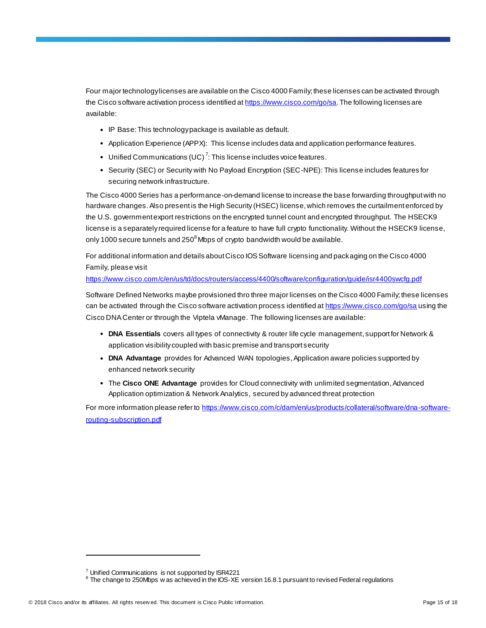Four major technology licenses are available on the Cisco 4000 Family; these licenses can be activated through the Cisco software activation process identified a[t https://www.cisco.com/go/sa](https://www.cisco.com/go/sa). The following licenses are available:

- IP Base: This technology package is available as default.
- Application Experience (APPX): This license includes data and application performance features.
- Unified Communications (UC)<sup>7</sup>: This license includes voice features.
- Security (SEC) or Security with No Payload Encryption (SEC-NPE): This license includes features for securing network infrastructure.

The Cisco 4000 Series has a performance-on-demand license to increase the base forwarding throughput with no hardware changes. Also present is the High Security (HSEC) license, which removes the curtailment enforced by the U.S. government export restrictions on the encrypted tunnel count and encrypted throughput. The HSECK9 license is a separatelyrequired license for a feature to have full crypto functionality. Without the HSECK9 license, only 1000 secure tunnels and 250 $^8$ Mbps of crypto bandwidth would be available.

For additional information and details about Cisco IOS Software licensing and packaging on the Cisco 4000 Family, please visit

<https://www.cisco.com/c/en/us/td/docs/routers/access/4400/software/configuration/guide/isr4400swcfg.pdf>

Software Defined Networks maybe provisioned thro three major licenses on the Cisco 4000 Family; these licenses can be activated through the Cisco software activation process identified a[t https://www.cisco.com/go/sa](https://www.cisco.com/go/sa) using the Cisco DNA Center or through the Viptela vManage. The following licenses are available:

- **DNA Essentials** covers all types of connectivity & router life cycle management, support for Network & application visibilitycoupled with basic premise and transport security
- **DNA Advantage** provides for Advanced WAN topologies, Application aware policies supported by enhanced network security
- The **Cisco ONE Advantage** provides for Cloud connectivity with unlimited segmentation, Advanced Application optimization & Network Analytics, secured by advanced threat protection

For more information please refer to [https://www.cisco.com/c/dam/en/us/products/collateral/software/dna-software](https://www.cisco.com/c/dam/en/us/products/collateral/software/dna-software-routing-subscription.pdf)[routing-subscription.pdf](https://www.cisco.com/c/dam/en/us/products/collateral/software/dna-software-routing-subscription.pdf)

 $7$  Unified Communications is not supported by ISR4221

<sup>8</sup> The change to 250Mbps w as achieved in the IOS-XE version 16.8.1 pursuant to revised Federal regulations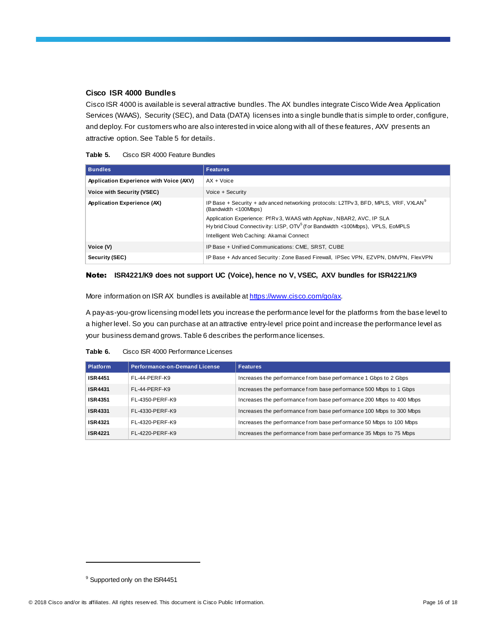## **Cisco ISR 4000 Bundles**

Cisco ISR 4000 is available is several attractive bundles. The AX bundles integrate Cisco Wide Area Application Services (WAAS), Security (SEC), and Data (DATA) licenses into a single bundle that is simple to order, configure, and deploy. For customers who are also interested in voice along with all of these features, AXV presents an attractive option. See Table 5 for details.

| Table 5. | Cisco ISR 4000 Feature Bundles |
|----------|--------------------------------|
|          |                                |

| <b>Bundles</b>                          | <b>Features</b>                                                                                                                                                                                               |
|-----------------------------------------|---------------------------------------------------------------------------------------------------------------------------------------------------------------------------------------------------------------|
| Application Experience with Voice (AXV) | $AX + Voice$                                                                                                                                                                                                  |
| Voice with Security (VSEC)              | Voice + Security                                                                                                                                                                                              |
| Application Experience (AX)             | IP Base + Security + adv anced networking protocols: L2TPv 3, BFD, MPLS, VRF, VXLAN <sup>9</sup><br>(Bandwidth <100Mbps)                                                                                      |
|                                         | Application Experience: Pf Rv 3, WAAS with AppNav, NBAR2, AVC, IP SLA<br>Hy brid Cloud Connectivity: LISP, OTV <sup>5</sup> (for Bandwidth <100Mbps), VPLS, EoMPLS<br>Intelligent Web Caching: Akamai Connect |
| Voice (V)                               | IP Base + Unified Communications: CME, SRST, CUBE                                                                                                                                                             |
| Security (SEC)                          | IP Base + Adv anced Security: Zone Based Firewall, IPSec VPN, EZVPN, DMVPN, FlexVPN                                                                                                                           |

#### Note: **ISR4221/K9 does not support UC (Voice), hence no V, VSEC, AXV bundles for ISR4221/K9**

More information on ISR AX bundles is available a[t https://www.cisco.com/go/ax](https://www.cisco.com/go/ax).

A pay-as-you-grow licensing model lets you increase the performance level for the platforms from the base level to a higher level. So you can purchase at an attractive entry-level price point and increase the performance level as your business demand grows. Table 6 describes the performance licenses.

#### **Table 6.** Cisco ISR 4000 Performance Licenses

| Platform       | <b>Performance-on-Demand License</b> | <b>Features</b>                                                      |
|----------------|--------------------------------------|----------------------------------------------------------------------|
| <b>ISR4451</b> | FL-44-PERF-K9                        | Increases the performance from base performance 1 Gbps to 2 Gbps     |
| <b>ISR4431</b> | FL-44-PERF-K9                        | Increases the performance from base performance 500 Mbps to 1 Gbps   |
| <b>ISR4351</b> | FL-4350-PERF-K9                      | Increases the performance from base performance 200 Mbps to 400 Mbps |
| <b>ISR4331</b> | FL-4330-PERF-K9                      | Increases the performance from base performance 100 Mbps to 300 Mbps |
| <b>ISR4321</b> | FL-4320-PERF-K9                      | Increases the performance from base performance 50 Mbps to 100 Mbps  |
| <b>ISR4221</b> | FL-4220-PERF-K9                      | Increases the performance from base performance 35 Mbps to 75 Mbps   |

<sup>&</sup>lt;sup>9</sup> Supported only on the ISR4451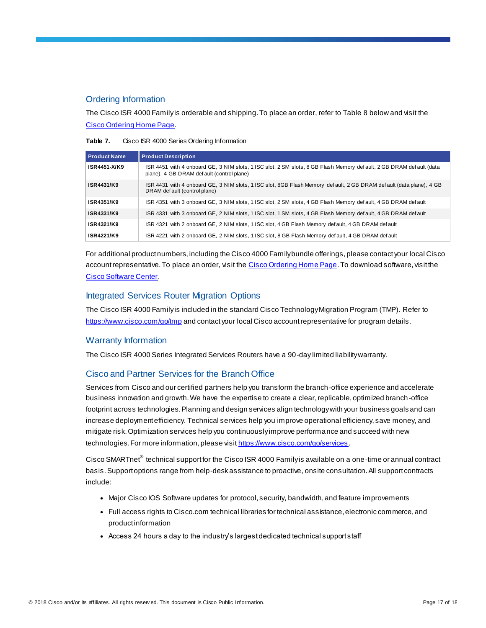## Ordering Information

The Cisco ISR 4000 Family is orderable and shipping. To place an order, refer to Table 8 below and visit the Cisco [Ordering Home Page](https://www.cisco.com/web/ordering/or13/or8/o25/ordering_solutions_category_home.html).

| Table 7. |  | Cisco ISR 4000 Series Ordering Information |  |  |
|----------|--|--------------------------------------------|--|--|
|----------|--|--------------------------------------------|--|--|

| Product Name      | <b>Product Description</b>                                                                                                                                        |
|-------------------|-------------------------------------------------------------------------------------------------------------------------------------------------------------------|
| ISR4451-X/K9      | ISR 4451 with 4 onboard GE, 3 NIM slots, 1 ISC slot, 2 SM slots, 8 GB Flash Memory default, 2 GB DRAM default (data<br>plane), 4 GB DRAM def ault (control plane) |
| <b>ISR4431/K9</b> | ISR 4431 with 4 onboard GE, 3 NIM slots, 1 ISC slot, 8GB Flash Memory default, 2 GB DRAM default (data plane), 4 GB<br>DRAM def ault (control plane)              |
| ISR4351/K9        | ISR 4351 with 3 onboard GE, 3 NIM slots, 1 ISC slot, 2 SM slots, 4 GB Flash Memory default, 4 GB DRAM default                                                     |
| ISR4331/K9        | ISR 4331 with 3 onboard GE, 2 NIM slots, 1 ISC slot, 1 SM slots, 4 GB Flash Memory default, 4 GB DRAM default                                                     |
| ISR4321/K9        | ISR 4321 with 2 onboard GE, 2 NIM slots, 1 ISC slot, 4 GB Flash Memory def ault, 4 GB DRAM def ault                                                               |
| ISR4221/K9        | ISR 4221 with 2 onboard GE, 2 NIM slots, 1 ISC slot, 8 GB Flash Memory def ault, 4 GB DRAM def ault                                                               |

For additional product numbers, including the Cisco 4000 Family bundle offerings, please contact your local Cisco account representative. To place an order, visit th[e Cisco Ordering Home Page](http://www.cisco.com/en/US/ordering/index.shtml). To download software, visit the [Cisco Software Center.](http://www.cisco.com/public/sw-center/index.shtml)

## Integrated Services Router Migration Options

The Cisco ISR 4000 Family is included in the standard Cisco Technology Migration Program (TMP). Refer to <https://www.cisco.com/go/tmp> and contact your local Cisco account representative for program details.

#### Warranty Information

The Cisco ISR 4000 Series Integrated Services Routers have a 90-day limited liability warranty.

## Cisco and Partner Services for the Branch Office

Services from Cisco and our certified partners help you transform the branch-office experience and accelerate business innovation and growth. We have the expertise to create a clear, replicable, optimized branch-office footprint across technologies. Planning and design services align technology with your business goals and can increase deployment efficiency. Technical services help you improve operational efficiency, save money, and mitigate risk. Optimization services help you continuously improve performance and succeed with new technologies. For more information, please visi[t https://www.cisco.com/go/services](https://www.cisco.com/go/services).

Cisco SMARTnet $^{\circledast}$  technical support for the Cisco ISR 4000 Family is available on a one-time or annual contract basis. Support options range from help-desk assistance to proactive, onsite consultation. All support contracts include:

- Major Cisco IOS Software updates for protocol, security, bandwidth, and feature improvements
- Full access rights to Cisco.com technical libraries for technical assistance, electronic commerce, and product information
- Access 24 hours a day to the industry's largest dedicated technical support staff